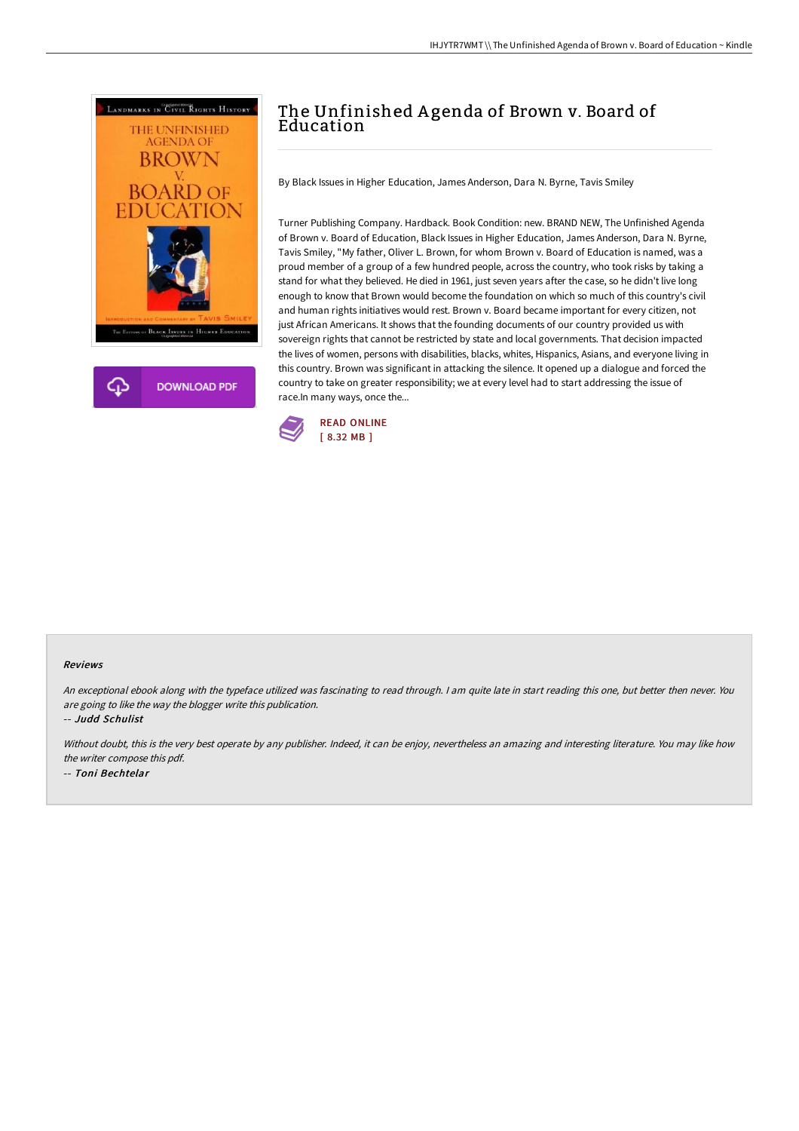



## The Unfinished A genda of Brown v. Board of Education

By Black Issues in Higher Education, James Anderson, Dara N. Byrne, Tavis Smiley

Turner Publishing Company. Hardback. Book Condition: new. BRAND NEW, The Unfinished Agenda of Brown v. Board of Education, Black Issues in Higher Education, James Anderson, Dara N. Byrne, Tavis Smiley, "My father, Oliver L. Brown, for whom Brown v. Board of Education is named, was a proud member of a group of a few hundred people, across the country, who took risks by taking a stand for what they believed. He died in 1961, just seven years after the case, so he didn't live long enough to know that Brown would become the foundation on which so much of this country's civil and human rights initiatives would rest. Brown v. Board became important for every citizen, not just African Americans. It shows that the founding documents of our country provided us with sovereign rights that cannot be restricted by state and local governments. That decision impacted the lives of women, persons with disabilities, blacks, whites, Hispanics, Asians, and everyone living in this country. Brown was significant in attacking the silence. It opened up a dialogue and forced the country to take on greater responsibility; we at every level had to start addressing the issue of race.In many ways, once the...



## Reviews

An exceptional ebook along with the typeface utilized was fascinating to read through. I am quite late in start reading this one, but better then never. You are going to like the way the blogger write this publication.

-- Judd Schulist

Without doubt, this is the very best operate by any publisher. Indeed, it can be enjoy, nevertheless an amazing and interesting literature. You may like how the writer compose this pdf. -- Toni Bechtelar